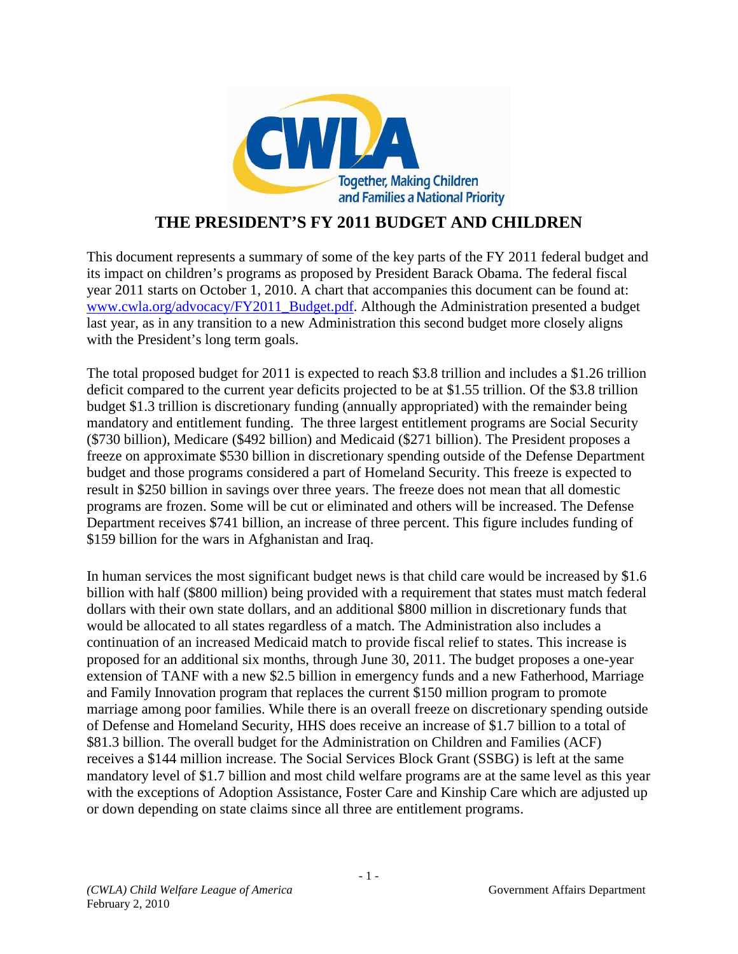

## **THE PRESIDENT'S FY 2011 BUDGET AND CHILDREN**

This document represents a summary of some of the key parts of the FY 2011 federal budget and its impact on children's programs as proposed by President Barack Obama. The federal fiscal year 2011 starts on October 1, 2010. A chart that accompanies this document can be found at: www.cwla.org/advocacy/FY2011\_Budget.pdf. Although the Administration presented a budget last year, as in any transition to a new Administration this second budget more closely aligns with the President's long term goals.

The total proposed budget for 2011 is expected to reach \$3.8 trillion and includes a \$1.26 trillion deficit compared to the current year deficits projected to be at \$1.55 trillion. Of the \$3.8 trillion budget \$1.3 trillion is discretionary funding (annually appropriated) with the remainder being mandatory and entitlement funding. The three largest entitlement programs are Social Security (\$730 billion), Medicare (\$492 billion) and Medicaid (\$271 billion). The President proposes a freeze on approximate \$530 billion in discretionary spending outside of the Defense Department budget and those programs considered a part of Homeland Security. This freeze is expected to result in \$250 billion in savings over three years. The freeze does not mean that all domestic programs are frozen. Some will be cut or eliminated and others will be increased. The Defense Department receives \$741 billion, an increase of three percent. This figure includes funding of \$159 billion for the wars in Afghanistan and Iraq.

In human services the most significant budget news is that child care would be increased by \$1.6 billion with half (\$800 million) being provided with a requirement that states must match federal dollars with their own state dollars, and an additional \$800 million in discretionary funds that would be allocated to all states regardless of a match. The Administration also includes a continuation of an increased Medicaid match to provide fiscal relief to states. This increase is proposed for an additional six months, through June 30, 2011. The budget proposes a one-year extension of TANF with a new \$2.5 billion in emergency funds and a new Fatherhood, Marriage and Family Innovation program that replaces the current \$150 million program to promote marriage among poor families. While there is an overall freeze on discretionary spending outside of Defense and Homeland Security, HHS does receive an increase of \$1.7 billion to a total of \$81.3 billion. The overall budget for the Administration on Children and Families (ACF) receives a \$144 million increase. The Social Services Block Grant (SSBG) is left at the same mandatory level of \$1.7 billion and most child welfare programs are at the same level as this year with the exceptions of Adoption Assistance, Foster Care and Kinship Care which are adjusted up or down depending on state claims since all three are entitlement programs.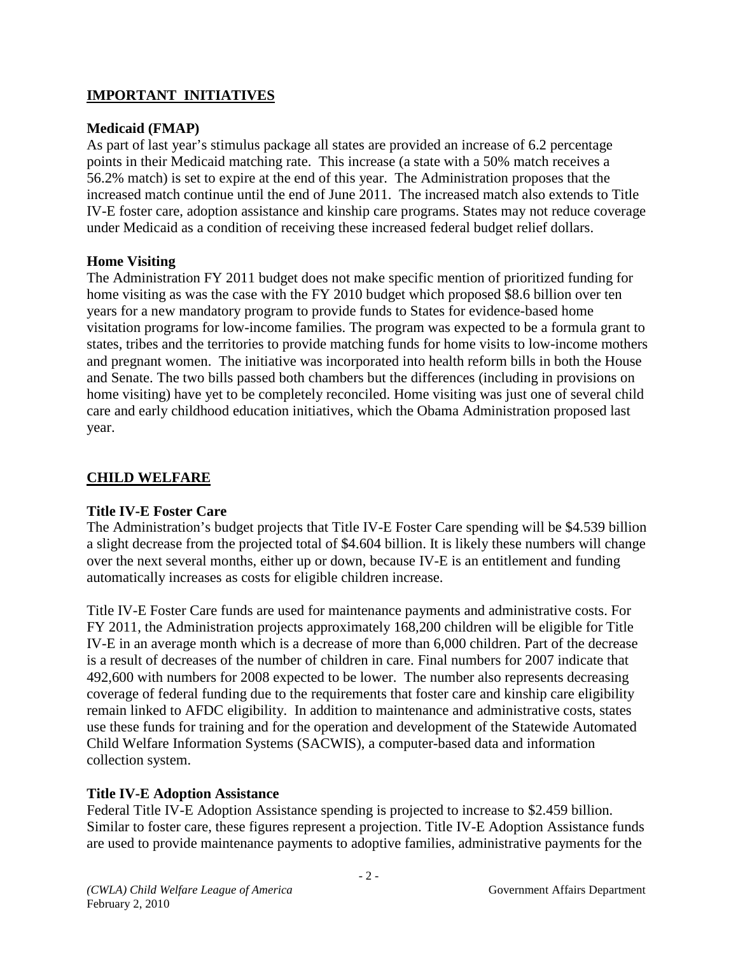## **IMPORTANT INITIATIVES**

#### **Medicaid (FMAP)**

As part of last year's stimulus package all states are provided an increase of 6.2 percentage points in their Medicaid matching rate. This increase (a state with a 50% match receives a 56.2% match) is set to expire at the end of this year. The Administration proposes that the increased match continue until the end of June 2011. The increased match also extends to Title IV-E foster care, adoption assistance and kinship care programs. States may not reduce coverage under Medicaid as a condition of receiving these increased federal budget relief dollars.

#### **Home Visiting**

The Administration FY 2011 budget does not make specific mention of prioritized funding for home visiting as was the case with the FY 2010 budget which proposed \$8.6 billion over ten years for a new mandatory program to provide funds to States for evidence-based home visitation programs for low-income families. The program was expected to be a formula grant to states, tribes and the territories to provide matching funds for home visits to low-income mothers and pregnant women. The initiative was incorporated into health reform bills in both the House and Senate. The two bills passed both chambers but the differences (including in provisions on home visiting) have yet to be completely reconciled. Home visiting was just one of several child care and early childhood education initiatives, which the Obama Administration proposed last year.

## **CHILD WELFARE**

### **Title IV-E Foster Care**

The Administration's budget projects that Title IV-E Foster Care spending will be \$4.539 billion a slight decrease from the projected total of \$4.604 billion. It is likely these numbers will change over the next several months, either up or down, because IV-E is an entitlement and funding automatically increases as costs for eligible children increase.

Title IV-E Foster Care funds are used for maintenance payments and administrative costs. For FY 2011, the Administration projects approximately 168,200 children will be eligible for Title IV-E in an average month which is a decrease of more than 6,000 children. Part of the decrease is a result of decreases of the number of children in care. Final numbers for 2007 indicate that 492,600 with numbers for 2008 expected to be lower. The number also represents decreasing coverage of federal funding due to the requirements that foster care and kinship care eligibility remain linked to AFDC eligibility. In addition to maintenance and administrative costs, states use these funds for training and for the operation and development of the Statewide Automated Child Welfare Information Systems (SACWIS), a computer-based data and information collection system.

### **Title IV-E Adoption Assistance**

Federal Title IV-E Adoption Assistance spending is projected to increase to \$2.459 billion. Similar to foster care, these figures represent a projection. Title IV-E Adoption Assistance funds are used to provide maintenance payments to adoptive families, administrative payments for the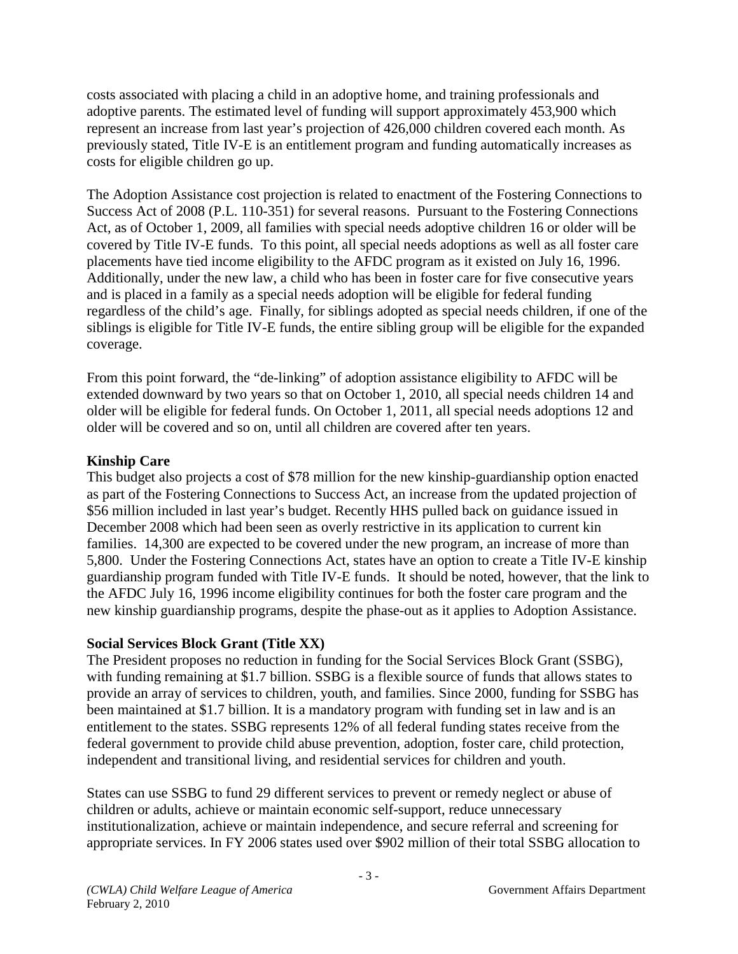costs associated with placing a child in an adoptive home, and training professionals and adoptive parents. The estimated level of funding will support approximately 453,900 which represent an increase from last year's projection of 426,000 children covered each month. As previously stated, Title IV-E is an entitlement program and funding automatically increases as costs for eligible children go up.

The Adoption Assistance cost projection is related to enactment of the Fostering Connections to Success Act of 2008 (P.L. 110-351) for several reasons. Pursuant to the Fostering Connections Act, as of October 1, 2009, all families with special needs adoptive children 16 or older will be covered by Title IV-E funds. To this point, all special needs adoptions as well as all foster care placements have tied income eligibility to the AFDC program as it existed on July 16, 1996. Additionally, under the new law, a child who has been in foster care for five consecutive years and is placed in a family as a special needs adoption will be eligible for federal funding regardless of the child's age. Finally, for siblings adopted as special needs children, if one of the siblings is eligible for Title IV-E funds, the entire sibling group will be eligible for the expanded coverage.

From this point forward, the "de-linking" of adoption assistance eligibility to AFDC will be extended downward by two years so that on October 1, 2010, all special needs children 14 and older will be eligible for federal funds. On October 1, 2011, all special needs adoptions 12 and older will be covered and so on, until all children are covered after ten years.

## **Kinship Care**

This budget also projects a cost of \$78 million for the new kinship-guardianship option enacted as part of the Fostering Connections to Success Act, an increase from the updated projection of \$56 million included in last year's budget. Recently HHS pulled back on guidance issued in December 2008 which had been seen as overly restrictive in its application to current kin families. 14,300 are expected to be covered under the new program, an increase of more than 5,800. Under the Fostering Connections Act, states have an option to create a Title IV-E kinship guardianship program funded with Title IV-E funds. It should be noted, however, that the link to the AFDC July 16, 1996 income eligibility continues for both the foster care program and the new kinship guardianship programs, despite the phase-out as it applies to Adoption Assistance.

### **Social Services Block Grant (Title XX)**

The President proposes no reduction in funding for the Social Services Block Grant (SSBG), with funding remaining at \$1.7 billion. SSBG is a flexible source of funds that allows states to provide an array of services to children, youth, and families. Since 2000, funding for SSBG has been maintained at \$1.7 billion. It is a mandatory program with funding set in law and is an entitlement to the states. SSBG represents 12% of all federal funding states receive from the federal government to provide child abuse prevention, adoption, foster care, child protection, independent and transitional living, and residential services for children and youth.

States can use SSBG to fund 29 different services to prevent or remedy neglect or abuse of children or adults, achieve or maintain economic self-support, reduce unnecessary institutionalization, achieve or maintain independence, and secure referral and screening for appropriate services. In FY 2006 states used over \$902 million of their total SSBG allocation to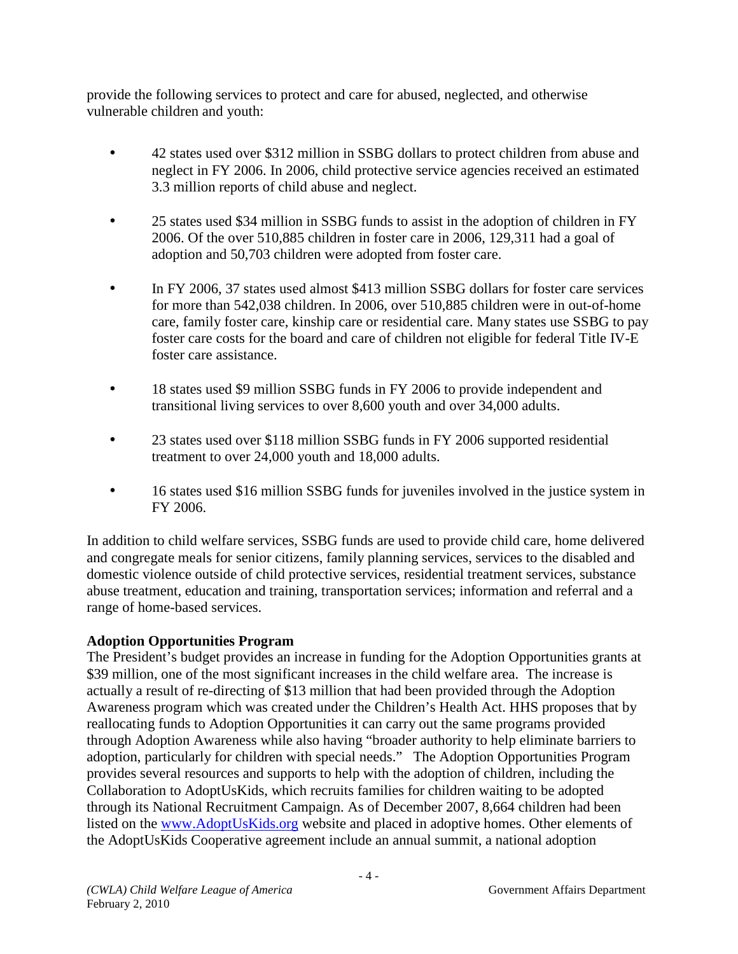provide the following services to protect and care for abused, neglected, and otherwise vulnerable children and youth:

- 42 states used over \$312 million in SSBG dollars to protect children from abuse and neglect in FY 2006. In 2006, child protective service agencies received an estimated 3.3 million reports of child abuse and neglect.
- 25 states used \$34 million in SSBG funds to assist in the adoption of children in FY 2006. Of the over 510,885 children in foster care in 2006, 129,311 had a goal of adoption and 50,703 children were adopted from foster care.
- In FY 2006, 37 states used almost \$413 million SSBG dollars for foster care services for more than 542,038 children. In 2006, over 510,885 children were in out-of-home care, family foster care, kinship care or residential care. Many states use SSBG to pay foster care costs for the board and care of children not eligible for federal Title IV-E foster care assistance.
- 18 states used \$9 million SSBG funds in FY 2006 to provide independent and transitional living services to over 8,600 youth and over 34,000 adults.
- 23 states used over \$118 million SSBG funds in FY 2006 supported residential treatment to over 24,000 youth and 18,000 adults.
- 16 states used \$16 million SSBG funds for juveniles involved in the justice system in FY 2006.

In addition to child welfare services, SSBG funds are used to provide child care, home delivered and congregate meals for senior citizens, family planning services, services to the disabled and domestic violence outside of child protective services, residential treatment services, substance abuse treatment, education and training, transportation services; information and referral and a range of home-based services.

## **Adoption Opportunities Program**

The President's budget provides an increase in funding for the Adoption Opportunities grants at \$39 million, one of the most significant increases in the child welfare area. The increase is actually a result of re-directing of \$13 million that had been provided through the Adoption Awareness program which was created under the Children's Health Act. HHS proposes that by reallocating funds to Adoption Opportunities it can carry out the same programs provided through Adoption Awareness while also having "broader authority to help eliminate barriers to adoption, particularly for children with special needs." The Adoption Opportunities Program provides several resources and supports to help with the adoption of children, including the Collaboration to AdoptUsKids, which recruits families for children waiting to be adopted through its National Recruitment Campaign. As of December 2007, 8,664 children had been listed on the www.AdoptUsKids.org website and placed in adoptive homes. Other elements of the AdoptUsKids Cooperative agreement include an annual summit, a national adoption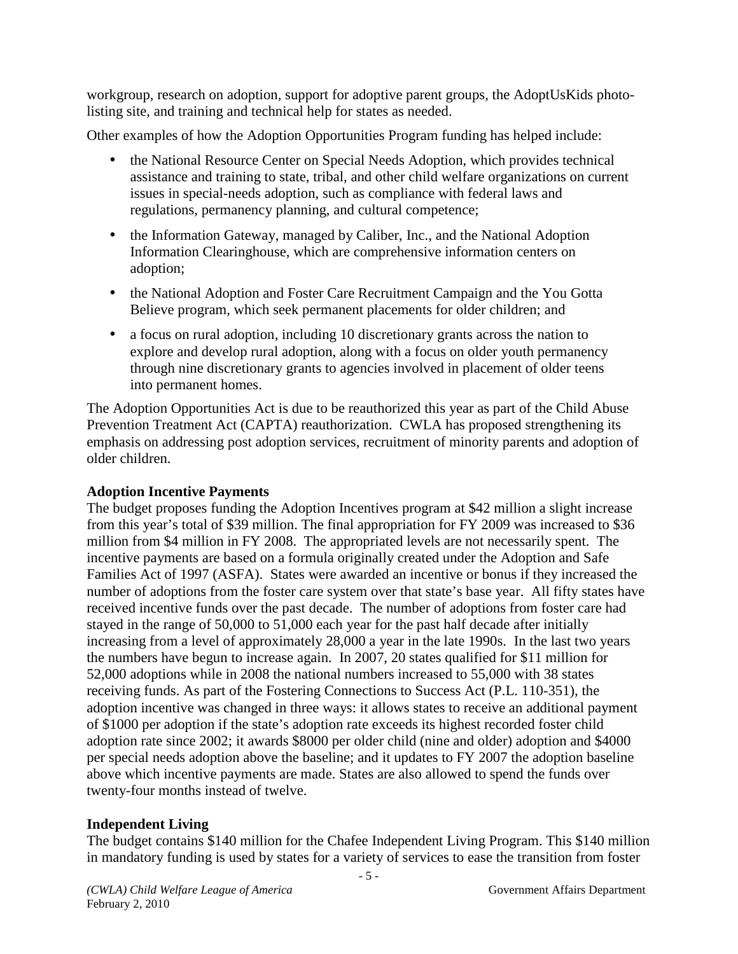workgroup, research on adoption, support for adoptive parent groups, the AdoptUsKids photolisting site, and training and technical help for states as needed.

Other examples of how the Adoption Opportunities Program funding has helped include:

- the National Resource Center on Special Needs Adoption, which provides technical assistance and training to state, tribal, and other child welfare organizations on current issues in special-needs adoption, such as compliance with federal laws and regulations, permanency planning, and cultural competence;
- the Information Gateway, managed by Caliber, Inc., and the National Adoption Information Clearinghouse, which are comprehensive information centers on adoption;
- the National Adoption and Foster Care Recruitment Campaign and the You Gotta Believe program, which seek permanent placements for older children; and
- a focus on rural adoption, including 10 discretionary grants across the nation to explore and develop rural adoption, along with a focus on older youth permanency through nine discretionary grants to agencies involved in placement of older teens into permanent homes.

The Adoption Opportunities Act is due to be reauthorized this year as part of the Child Abuse Prevention Treatment Act (CAPTA) reauthorization. CWLA has proposed strengthening its emphasis on addressing post adoption services, recruitment of minority parents and adoption of older children.

## **Adoption Incentive Payments**

The budget proposes funding the Adoption Incentives program at \$42 million a slight increase from this year's total of \$39 million. The final appropriation for FY 2009 was increased to \$36 million from \$4 million in FY 2008. The appropriated levels are not necessarily spent. The incentive payments are based on a formula originally created under the Adoption and Safe Families Act of 1997 (ASFA). States were awarded an incentive or bonus if they increased the number of adoptions from the foster care system over that state's base year. All fifty states have received incentive funds over the past decade. The number of adoptions from foster care had stayed in the range of 50,000 to 51,000 each year for the past half decade after initially increasing from a level of approximately 28,000 a year in the late 1990s. In the last two years the numbers have begun to increase again. In 2007, 20 states qualified for \$11 million for 52,000 adoptions while in 2008 the national numbers increased to 55,000 with 38 states receiving funds. As part of the Fostering Connections to Success Act (P.L. 110-351), the adoption incentive was changed in three ways: it allows states to receive an additional payment of \$1000 per adoption if the state's adoption rate exceeds its highest recorded foster child adoption rate since 2002; it awards \$8000 per older child (nine and older) adoption and \$4000 per special needs adoption above the baseline; and it updates to FY 2007 the adoption baseline above which incentive payments are made. States are also allowed to spend the funds over twenty-four months instead of twelve.

## **Independent Living**

The budget contains \$140 million for the Chafee Independent Living Program. This \$140 million in mandatory funding is used by states for a variety of services to ease the transition from foster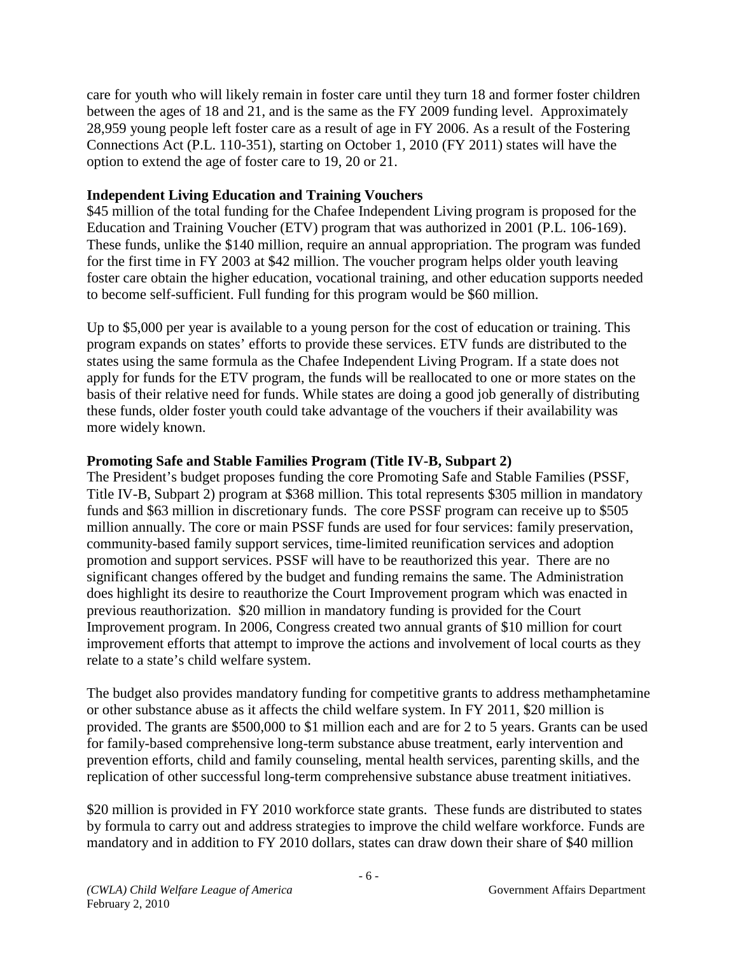care for youth who will likely remain in foster care until they turn 18 and former foster children between the ages of 18 and 21, and is the same as the FY 2009 funding level. Approximately 28,959 young people left foster care as a result of age in FY 2006. As a result of the Fostering Connections Act (P.L. 110-351), starting on October 1, 2010 (FY 2011) states will have the option to extend the age of foster care to 19, 20 or 21.

### **Independent Living Education and Training Vouchers**

\$45 million of the total funding for the Chafee Independent Living program is proposed for the Education and Training Voucher (ETV) program that was authorized in 2001 (P.L. 106-169). These funds, unlike the \$140 million, require an annual appropriation. The program was funded for the first time in FY 2003 at \$42 million. The voucher program helps older youth leaving foster care obtain the higher education, vocational training, and other education supports needed to become self-sufficient. Full funding for this program would be \$60 million.

Up to \$5,000 per year is available to a young person for the cost of education or training. This program expands on states' efforts to provide these services. ETV funds are distributed to the states using the same formula as the Chafee Independent Living Program. If a state does not apply for funds for the ETV program, the funds will be reallocated to one or more states on the basis of their relative need for funds. While states are doing a good job generally of distributing these funds, older foster youth could take advantage of the vouchers if their availability was more widely known.

## **Promoting Safe and Stable Families Program (Title IV-B, Subpart 2)**

The President's budget proposes funding the core Promoting Safe and Stable Families (PSSF, Title IV-B, Subpart 2) program at \$368 million. This total represents \$305 million in mandatory funds and \$63 million in discretionary funds. The core PSSF program can receive up to \$505 million annually. The core or main PSSF funds are used for four services: family preservation, community-based family support services, time-limited reunification services and adoption promotion and support services. PSSF will have to be reauthorized this year. There are no significant changes offered by the budget and funding remains the same. The Administration does highlight its desire to reauthorize the Court Improvement program which was enacted in previous reauthorization. \$20 million in mandatory funding is provided for the Court Improvement program. In 2006, Congress created two annual grants of \$10 million for court improvement efforts that attempt to improve the actions and involvement of local courts as they relate to a state's child welfare system.

The budget also provides mandatory funding for competitive grants to address methamphetamine or other substance abuse as it affects the child welfare system. In FY 2011, \$20 million is provided. The grants are \$500,000 to \$1 million each and are for 2 to 5 years. Grants can be used for family-based comprehensive long-term substance abuse treatment, early intervention and prevention efforts, child and family counseling, mental health services, parenting skills, and the replication of other successful long-term comprehensive substance abuse treatment initiatives.

\$20 million is provided in FY 2010 workforce state grants. These funds are distributed to states by formula to carry out and address strategies to improve the child welfare workforce. Funds are mandatory and in addition to FY 2010 dollars, states can draw down their share of \$40 million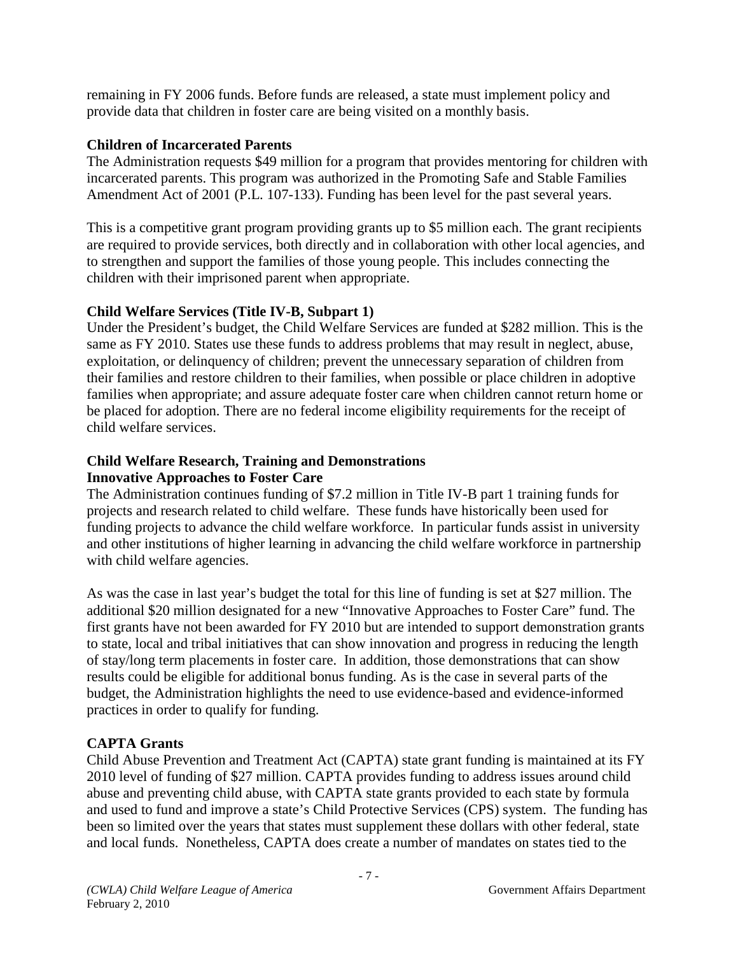remaining in FY 2006 funds. Before funds are released, a state must implement policy and provide data that children in foster care are being visited on a monthly basis.

## **Children of Incarcerated Parents**

The Administration requests \$49 million for a program that provides mentoring for children with incarcerated parents. This program was authorized in the Promoting Safe and Stable Families Amendment Act of 2001 (P.L. 107-133). Funding has been level for the past several years.

This is a competitive grant program providing grants up to \$5 million each. The grant recipients are required to provide services, both directly and in collaboration with other local agencies, and to strengthen and support the families of those young people. This includes connecting the children with their imprisoned parent when appropriate.

## **Child Welfare Services (Title IV-B, Subpart 1)**

Under the President's budget, the Child Welfare Services are funded at \$282 million. This is the same as FY 2010. States use these funds to address problems that may result in neglect, abuse, exploitation, or delinquency of children; prevent the unnecessary separation of children from their families and restore children to their families, when possible or place children in adoptive families when appropriate; and assure adequate foster care when children cannot return home or be placed for adoption. There are no federal income eligibility requirements for the receipt of child welfare services.

#### **Child Welfare Research, Training and Demonstrations Innovative Approaches to Foster Care**

The Administration continues funding of \$7.2 million in Title IV-B part 1 training funds for projects and research related to child welfare. These funds have historically been used for funding projects to advance the child welfare workforce. In particular funds assist in university and other institutions of higher learning in advancing the child welfare workforce in partnership with child welfare agencies.

As was the case in last year's budget the total for this line of funding is set at \$27 million. The additional \$20 million designated for a new "Innovative Approaches to Foster Care" fund. The first grants have not been awarded for FY 2010 but are intended to support demonstration grants to state, local and tribal initiatives that can show innovation and progress in reducing the length of stay/long term placements in foster care. In addition, those demonstrations that can show results could be eligible for additional bonus funding. As is the case in several parts of the budget, the Administration highlights the need to use evidence-based and evidence-informed practices in order to qualify for funding.

# **CAPTA Grants**

Child Abuse Prevention and Treatment Act (CAPTA) state grant funding is maintained at its FY 2010 level of funding of \$27 million. CAPTA provides funding to address issues around child abuse and preventing child abuse, with CAPTA state grants provided to each state by formula and used to fund and improve a state's Child Protective Services (CPS) system. The funding has been so limited over the years that states must supplement these dollars with other federal, state and local funds. Nonetheless, CAPTA does create a number of mandates on states tied to the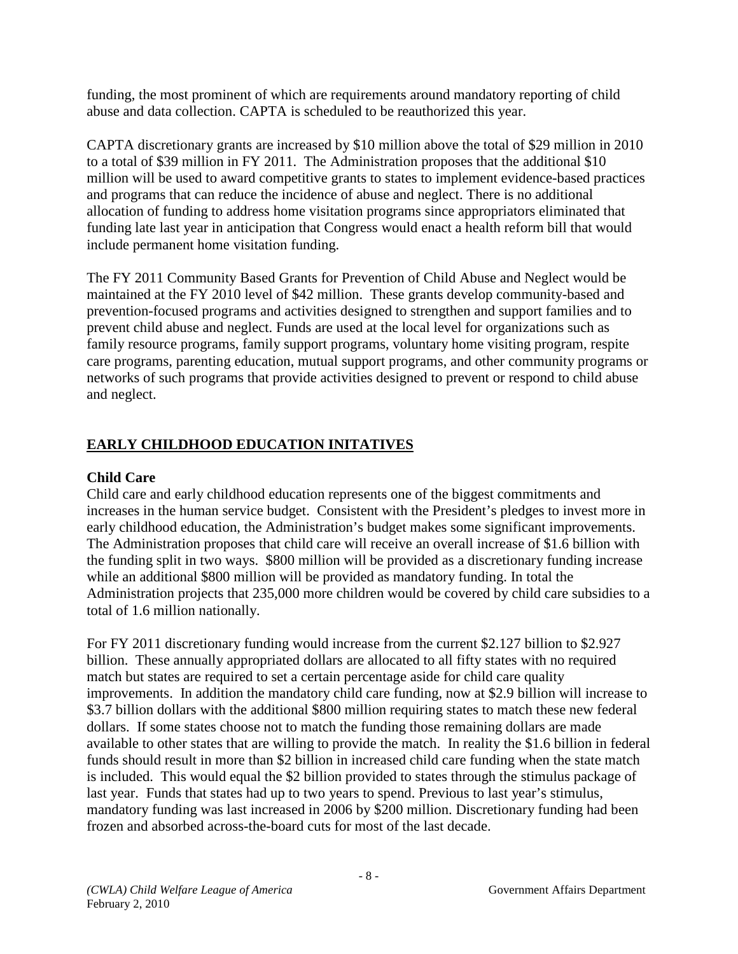funding, the most prominent of which are requirements around mandatory reporting of child abuse and data collection. CAPTA is scheduled to be reauthorized this year.

CAPTA discretionary grants are increased by \$10 million above the total of \$29 million in 2010 to a total of \$39 million in FY 2011. The Administration proposes that the additional \$10 million will be used to award competitive grants to states to implement evidence-based practices and programs that can reduce the incidence of abuse and neglect. There is no additional allocation of funding to address home visitation programs since appropriators eliminated that funding late last year in anticipation that Congress would enact a health reform bill that would include permanent home visitation funding.

The FY 2011 Community Based Grants for Prevention of Child Abuse and Neglect would be maintained at the FY 2010 level of \$42 million. These grants develop community-based and prevention-focused programs and activities designed to strengthen and support families and to prevent child abuse and neglect. Funds are used at the local level for organizations such as family resource programs, family support programs, voluntary home visiting program, respite care programs, parenting education, mutual support programs, and other community programs or networks of such programs that provide activities designed to prevent or respond to child abuse and neglect.

# **EARLY CHILDHOOD EDUCATION INITATIVES**

## **Child Care**

Child care and early childhood education represents one of the biggest commitments and increases in the human service budget. Consistent with the President's pledges to invest more in early childhood education, the Administration's budget makes some significant improvements. The Administration proposes that child care will receive an overall increase of \$1.6 billion with the funding split in two ways. \$800 million will be provided as a discretionary funding increase while an additional \$800 million will be provided as mandatory funding. In total the Administration projects that 235,000 more children would be covered by child care subsidies to a total of 1.6 million nationally.

For FY 2011 discretionary funding would increase from the current \$2.127 billion to \$2.927 billion. These annually appropriated dollars are allocated to all fifty states with no required match but states are required to set a certain percentage aside for child care quality improvements. In addition the mandatory child care funding, now at \$2.9 billion will increase to \$3.7 billion dollars with the additional \$800 million requiring states to match these new federal dollars. If some states choose not to match the funding those remaining dollars are made available to other states that are willing to provide the match. In reality the \$1.6 billion in federal funds should result in more than \$2 billion in increased child care funding when the state match is included. This would equal the \$2 billion provided to states through the stimulus package of last year. Funds that states had up to two years to spend. Previous to last year's stimulus, mandatory funding was last increased in 2006 by \$200 million. Discretionary funding had been frozen and absorbed across-the-board cuts for most of the last decade.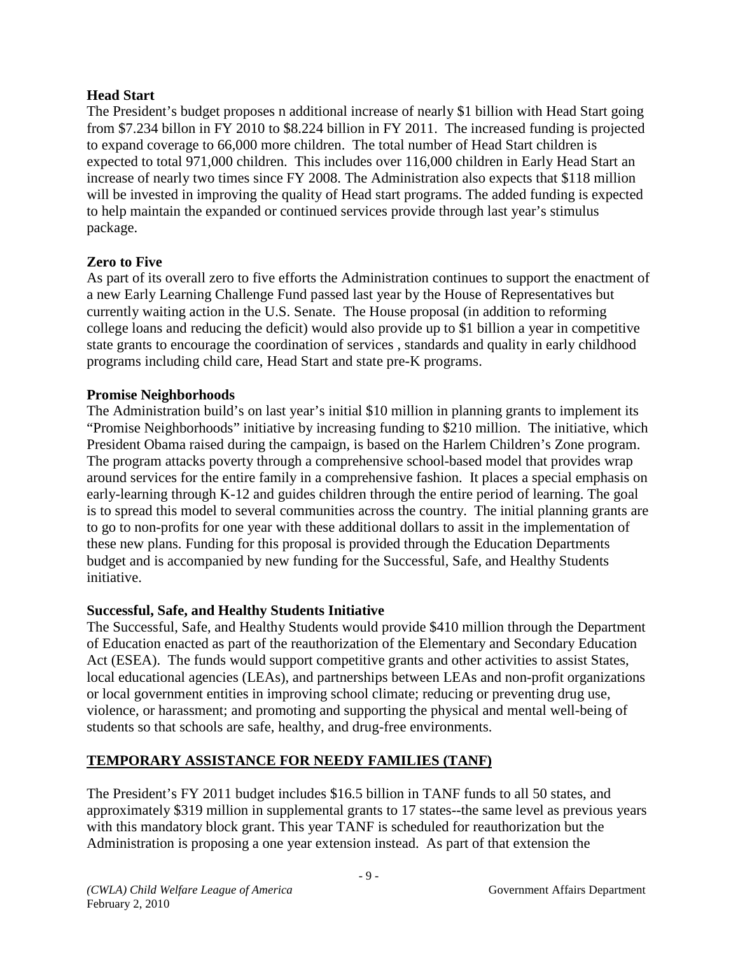## **Head Start**

The President's budget proposes n additional increase of nearly \$1 billion with Head Start going from \$7.234 billon in FY 2010 to \$8.224 billion in FY 2011. The increased funding is projected to expand coverage to 66,000 more children. The total number of Head Start children is expected to total 971,000 children. This includes over 116,000 children in Early Head Start an increase of nearly two times since FY 2008. The Administration also expects that \$118 million will be invested in improving the quality of Head start programs. The added funding is expected to help maintain the expanded or continued services provide through last year's stimulus package.

## **Zero to Five**

As part of its overall zero to five efforts the Administration continues to support the enactment of a new Early Learning Challenge Fund passed last year by the House of Representatives but currently waiting action in the U.S. Senate. The House proposal (in addition to reforming college loans and reducing the deficit) would also provide up to \$1 billion a year in competitive state grants to encourage the coordination of services , standards and quality in early childhood programs including child care, Head Start and state pre-K programs.

### **Promise Neighborhoods**

The Administration build's on last year's initial \$10 million in planning grants to implement its "Promise Neighborhoods" initiative by increasing funding to \$210 million. The initiative, which President Obama raised during the campaign, is based on the Harlem Children's Zone program. The program attacks poverty through a comprehensive school-based model that provides wrap around services for the entire family in a comprehensive fashion. It places a special emphasis on early-learning through K-12 and guides children through the entire period of learning. The goal is to spread this model to several communities across the country. The initial planning grants are to go to non-profits for one year with these additional dollars to assit in the implementation of these new plans. Funding for this proposal is provided through the Education Departments budget and is accompanied by new funding for the Successful, Safe, and Healthy Students initiative.

## **Successful, Safe, and Healthy Students Initiative**

The Successful, Safe, and Healthy Students would provide \$410 million through the Department of Education enacted as part of the reauthorization of the Elementary and Secondary Education Act (ESEA). The funds would support competitive grants and other activities to assist States, local educational agencies (LEAs), and partnerships between LEAs and non-profit organizations or local government entities in improving school climate; reducing or preventing drug use, violence, or harassment; and promoting and supporting the physical and mental well-being of students so that schools are safe, healthy, and drug-free environments.

## **TEMPORARY ASSISTANCE FOR NEEDY FAMILIES (TANF)**

The President's FY 2011 budget includes \$16.5 billion in TANF funds to all 50 states, and approximately \$319 million in supplemental grants to 17 states--the same level as previous years with this mandatory block grant. This year TANF is scheduled for reauthorization but the Administration is proposing a one year extension instead. As part of that extension the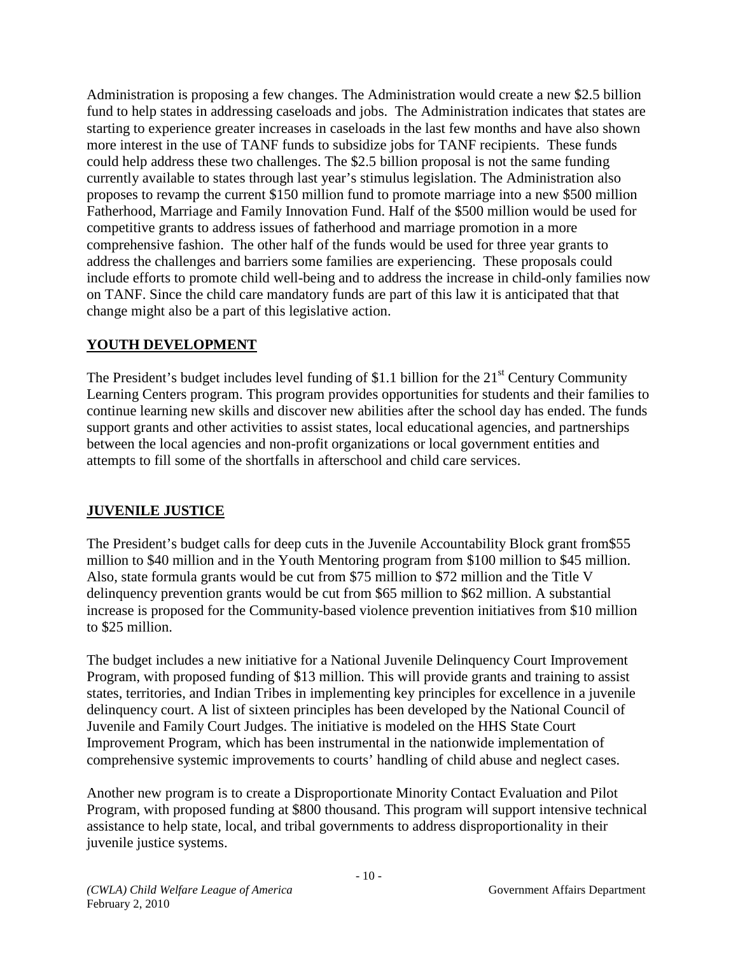Administration is proposing a few changes. The Administration would create a new \$2.5 billion fund to help states in addressing caseloads and jobs. The Administration indicates that states are starting to experience greater increases in caseloads in the last few months and have also shown more interest in the use of TANF funds to subsidize jobs for TANF recipients. These funds could help address these two challenges. The \$2.5 billion proposal is not the same funding currently available to states through last year's stimulus legislation. The Administration also proposes to revamp the current \$150 million fund to promote marriage into a new \$500 million Fatherhood, Marriage and Family Innovation Fund. Half of the \$500 million would be used for competitive grants to address issues of fatherhood and marriage promotion in a more comprehensive fashion. The other half of the funds would be used for three year grants to address the challenges and barriers some families are experiencing. These proposals could include efforts to promote child well-being and to address the increase in child-only families now on TANF. Since the child care mandatory funds are part of this law it is anticipated that that change might also be a part of this legislative action.

## **YOUTH DEVELOPMENT**

The President's budget includes level funding of \$1.1 billion for the  $21<sup>st</sup>$  Century Community Learning Centers program. This program provides opportunities for students and their families to continue learning new skills and discover new abilities after the school day has ended. The funds support grants and other activities to assist states, local educational agencies, and partnerships between the local agencies and non-profit organizations or local government entities and attempts to fill some of the shortfalls in afterschool and child care services.

## **JUVENILE JUSTICE**

The President's budget calls for deep cuts in the Juvenile Accountability Block grant from\$55 million to \$40 million and in the Youth Mentoring program from \$100 million to \$45 million. Also, state formula grants would be cut from \$75 million to \$72 million and the Title V delinquency prevention grants would be cut from \$65 million to \$62 million. A substantial increase is proposed for the Community-based violence prevention initiatives from \$10 million to \$25 million.

The budget includes a new initiative for a National Juvenile Delinquency Court Improvement Program, with proposed funding of \$13 million. This will provide grants and training to assist states, territories, and Indian Tribes in implementing key principles for excellence in a juvenile delinquency court. A list of sixteen principles has been developed by the National Council of Juvenile and Family Court Judges. The initiative is modeled on the HHS State Court Improvement Program, which has been instrumental in the nationwide implementation of comprehensive systemic improvements to courts' handling of child abuse and neglect cases.

Another new program is to create a Disproportionate Minority Contact Evaluation and Pilot Program, with proposed funding at \$800 thousand. This program will support intensive technical assistance to help state, local, and tribal governments to address disproportionality in their juvenile justice systems.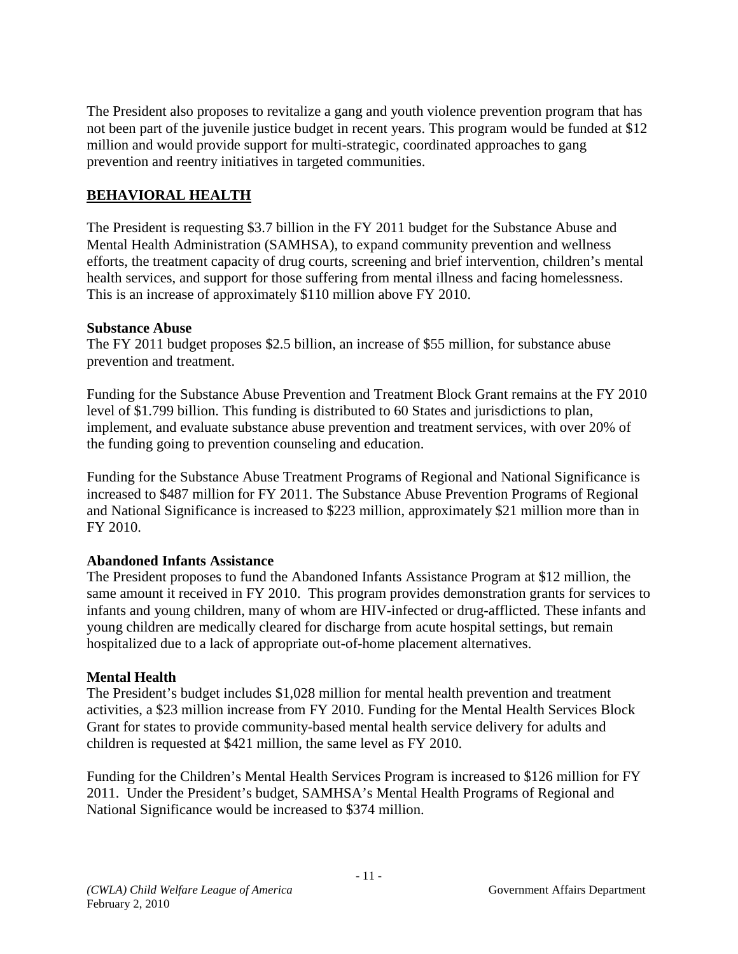The President also proposes to revitalize a gang and youth violence prevention program that has not been part of the juvenile justice budget in recent years. This program would be funded at \$12 million and would provide support for multi-strategic, coordinated approaches to gang prevention and reentry initiatives in targeted communities.

## **BEHAVIORAL HEALTH**

The President is requesting \$3.7 billion in the FY 2011 budget for the Substance Abuse and Mental Health Administration (SAMHSA), to expand community prevention and wellness efforts, the treatment capacity of drug courts, screening and brief intervention, children's mental health services, and support for those suffering from mental illness and facing homelessness. This is an increase of approximately \$110 million above FY 2010.

### **Substance Abuse**

The FY 2011 budget proposes \$2.5 billion, an increase of \$55 million, for substance abuse prevention and treatment.

Funding for the Substance Abuse Prevention and Treatment Block Grant remains at the FY 2010 level of \$1.799 billion. This funding is distributed to 60 States and jurisdictions to plan, implement, and evaluate substance abuse prevention and treatment services, with over 20% of the funding going to prevention counseling and education.

Funding for the Substance Abuse Treatment Programs of Regional and National Significance is increased to \$487 million for FY 2011. The Substance Abuse Prevention Programs of Regional and National Significance is increased to \$223 million, approximately \$21 million more than in FY 2010.

### **Abandoned Infants Assistance**

The President proposes to fund the Abandoned Infants Assistance Program at \$12 million, the same amount it received in FY 2010. This program provides demonstration grants for services to infants and young children, many of whom are HIV-infected or drug-afflicted. These infants and young children are medically cleared for discharge from acute hospital settings, but remain hospitalized due to a lack of appropriate out-of-home placement alternatives.

### **Mental Health**

The President's budget includes \$1,028 million for mental health prevention and treatment activities, a \$23 million increase from FY 2010. Funding for the Mental Health Services Block Grant for states to provide community-based mental health service delivery for adults and children is requested at \$421 million, the same level as FY 2010.

Funding for the Children's Mental Health Services Program is increased to \$126 million for FY 2011. Under the President's budget, SAMHSA's Mental Health Programs of Regional and National Significance would be increased to \$374 million.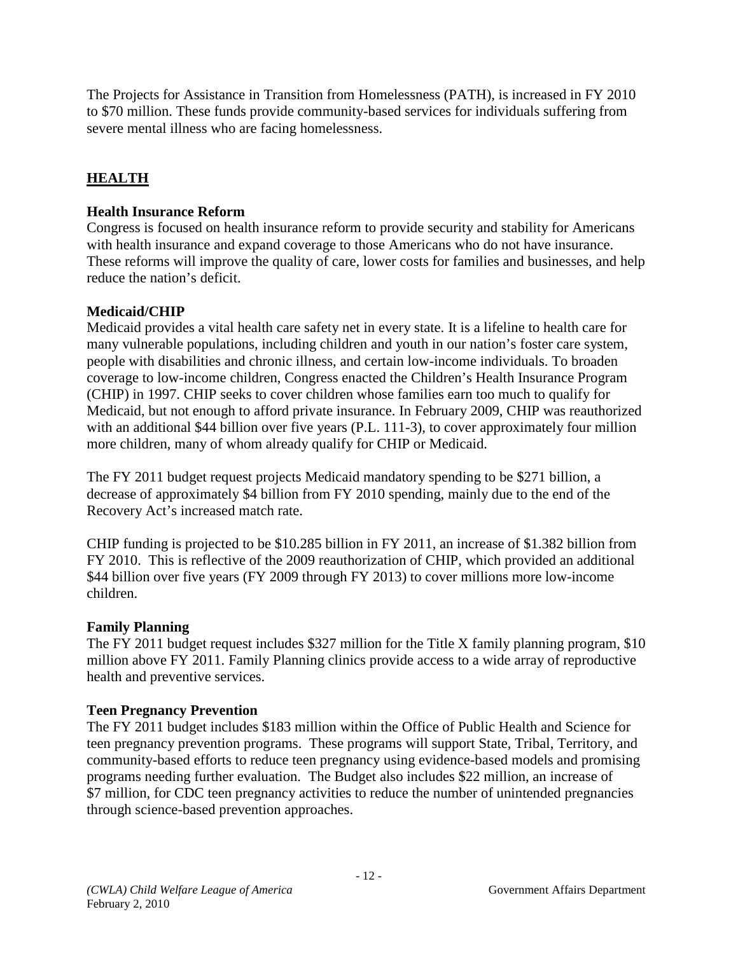The Projects for Assistance in Transition from Homelessness (PATH), is increased in FY 2010 to \$70 million. These funds provide community-based services for individuals suffering from severe mental illness who are facing homelessness.

# **HEALTH**

## **Health Insurance Reform**

Congress is focused on health insurance reform to provide security and stability for Americans with health insurance and expand coverage to those Americans who do not have insurance. These reforms will improve the quality of care, lower costs for families and businesses, and help reduce the nation's deficit.

## **Medicaid/CHIP**

Medicaid provides a vital health care safety net in every state. It is a lifeline to health care for many vulnerable populations, including children and youth in our nation's foster care system, people with disabilities and chronic illness, and certain low-income individuals. To broaden coverage to low-income children, Congress enacted the Children's Health Insurance Program (CHIP) in 1997. CHIP seeks to cover children whose families earn too much to qualify for Medicaid, but not enough to afford private insurance. In February 2009, CHIP was reauthorized with an additional \$44 billion over five years (P.L. 111-3), to cover approximately four million more children, many of whom already qualify for CHIP or Medicaid.

The FY 2011 budget request projects Medicaid mandatory spending to be \$271 billion, a decrease of approximately \$4 billion from FY 2010 spending, mainly due to the end of the Recovery Act's increased match rate.

CHIP funding is projected to be \$10.285 billion in FY 2011, an increase of \$1.382 billion from FY 2010. This is reflective of the 2009 reauthorization of CHIP, which provided an additional \$44 billion over five years (FY 2009 through FY 2013) to cover millions more low-income children.

### **Family Planning**

The FY 2011 budget request includes \$327 million for the Title X family planning program, \$10 million above FY 2011. Family Planning clinics provide access to a wide array of reproductive health and preventive services.

### **Teen Pregnancy Prevention**

The FY 2011 budget includes \$183 million within the Office of Public Health and Science for teen pregnancy prevention programs. These programs will support State, Tribal, Territory, and community-based efforts to reduce teen pregnancy using evidence-based models and promising programs needing further evaluation. The Budget also includes \$22 million, an increase of \$7 million, for CDC teen pregnancy activities to reduce the number of unintended pregnancies through science-based prevention approaches.